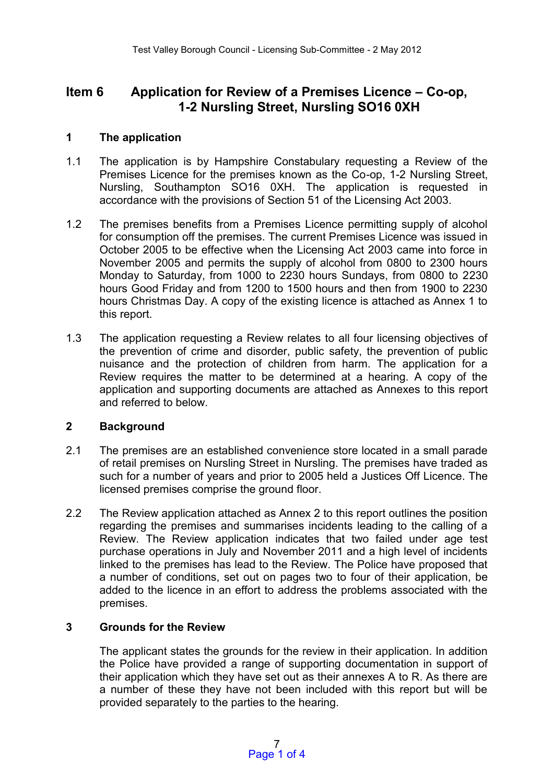# **Item 6 Application for Review of a Premises Licence – Co-op, 1-2 Nursling Street, Nursling SO16 0XH**

# **1 The application**

- 1.1 The application is by Hampshire Constabulary requesting a Review of the Premises Licence for the premises known as the Co-op, 1-2 Nursling Street, Nursling, Southampton SO16 0XH. The application is requested in accordance with the provisions of Section 51 of the Licensing Act 2003.
- 1.2 The premises benefits from a Premises Licence permitting supply of alcohol for consumption off the premises. The current Premises Licence was issued in October 2005 to be effective when the Licensing Act 2003 came into force in November 2005 and permits the supply of alcohol from 0800 to 2300 hours Monday to Saturday, from 1000 to 2230 hours Sundays, from 0800 to 2230 hours Good Friday and from 1200 to 1500 hours and then from 1900 to 2230 hours Christmas Day. A copy of the existing licence is attached as Annex 1 to this report.
- 1.3 The application requesting a Review relates to all four licensing objectives of the prevention of crime and disorder, public safety, the prevention of public nuisance and the protection of children from harm. The application for a Review requires the matter to be determined at a hearing. A copy of the application and supporting documents are attached as Annexes to this report and referred to below.

# **2 Background**

- 2.1 The premises are an established convenience store located in a small parade of retail premises on Nursling Street in Nursling. The premises have traded as such for a number of years and prior to 2005 held a Justices Off Licence. The licensed premises comprise the ground floor.
- 2.2 The Review application attached as Annex 2 to this report outlines the position regarding the premises and summarises incidents leading to the calling of a Review. The Review application indicates that two failed under age test purchase operations in July and November 2011 and a high level of incidents linked to the premises has lead to the Review. The Police have proposed that a number of conditions, set out on pages two to four of their application, be added to the licence in an effort to address the problems associated with the premises.

# **3 Grounds for the Review**

The applicant states the grounds for the review in their application. In addition the Police have provided a range of supporting documentation in support of their application which they have set out as their annexes A to R. As there are a number of these they have not been included with this report but will be provided separately to the parties to the hearing.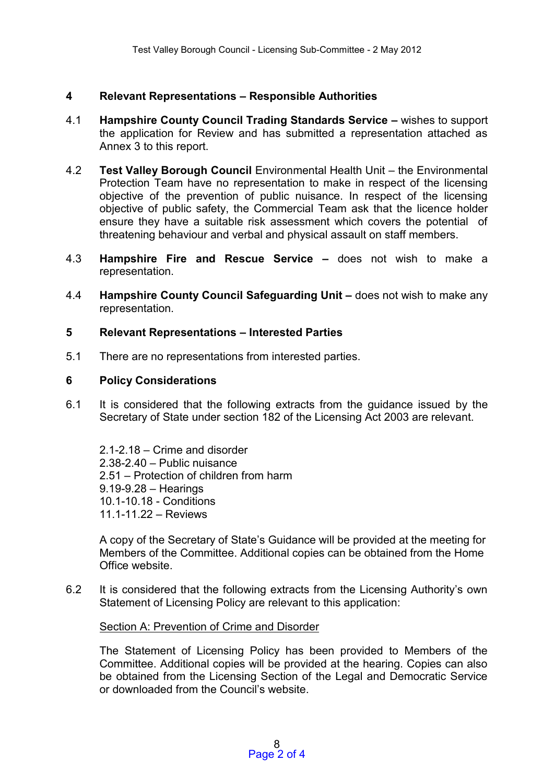# **4 Relevant Representations – Responsible Authorities**

- 4.1 **Hampshire County Council Trading Standards Service –** wishes to support the application for Review and has submitted a representation attached as Annex 3 to this report.
- 4.2 **Test Valley Borough Council** Environmental Health Unit the Environmental Protection Team have no representation to make in respect of the licensing objective of the prevention of public nuisance. In respect of the licensing objective of public safety, the Commercial Team ask that the licence holder ensure they have a suitable risk assessment which covers the potential of threatening behaviour and verbal and physical assault on staff members.
- 4.3 **Hampshire Fire and Rescue Service –** does not wish to make a representation.
- 4.4 **Hampshire County Council Safeguarding Unit –** does not wish to make any representation.

#### **5 Relevant Representations – Interested Parties**

5.1 There are no representations from interested parties.

#### **6 Policy Considerations**

6.1 It is considered that the following extracts from the guidance issued by the Secretary of State under section 182 of the Licensing Act 2003 are relevant.

2.1-2.18 – Crime and disorder 2.38-2.40 – Public nuisance 2.51 – Protection of children from harm 9.19-9.28 – Hearings 10.1-10.18 - Conditions 11.1-11.22 – Reviews

A copy of the Secretary of State's Guidance will be provided at the meeting for Members of the Committee. Additional copies can be obtained from the Home Office website.

6.2 It is considered that the following extracts from the Licensing Authority's own Statement of Licensing Policy are relevant to this application:

#### Section A: Prevention of Crime and Disorder

The Statement of Licensing Policy has been provided to Members of the Committee. Additional copies will be provided at the hearing. Copies can also be obtained from the Licensing Section of the Legal and Democratic Service or downloaded from the Council's website.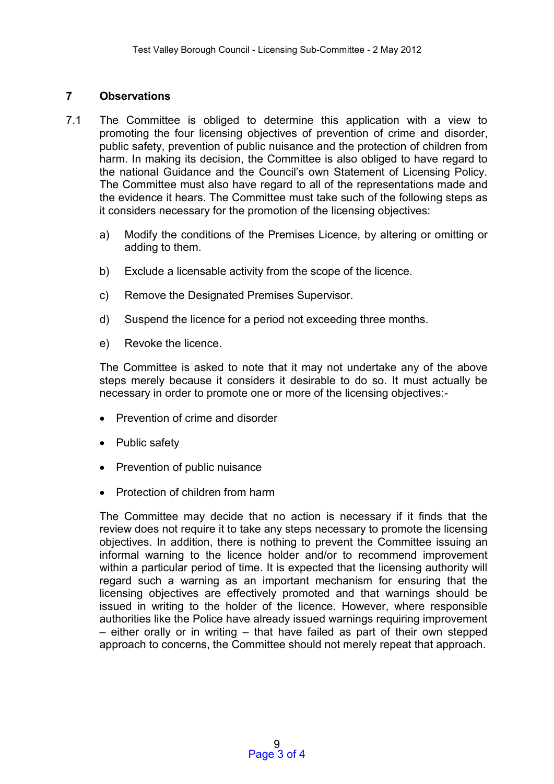# **7 Observations**

- 7.1 The Committee is obliged to determine this application with a view to promoting the four licensing objectives of prevention of crime and disorder, public safety, prevention of public nuisance and the protection of children from harm. In making its decision, the Committee is also obliged to have regard to the national Guidance and the Council's own Statement of Licensing Policy. The Committee must also have regard to all of the representations made and the evidence it hears. The Committee must take such of the following steps as it considers necessary for the promotion of the licensing objectives:
	- a) Modify the conditions of the Premises Licence, by altering or omitting or adding to them.
	- b) Exclude a licensable activity from the scope of the licence.
	- c) Remove the Designated Premises Supervisor.
	- d) Suspend the licence for a period not exceeding three months.
	- e) Revoke the licence.

The Committee is asked to note that it may not undertake any of the above steps merely because it considers it desirable to do so. It must actually be necessary in order to promote one or more of the licensing objectives:-

- Prevention of crime and disorder
- Public safety
- Prevention of public nuisance
- Protection of children from harm

The Committee may decide that no action is necessary if it finds that the review does not require it to take any steps necessary to promote the licensing objectives. In addition, there is nothing to prevent the Committee issuing an informal warning to the licence holder and/or to recommend improvement within a particular period of time. It is expected that the licensing authority will regard such a warning as an important mechanism for ensuring that the licensing objectives are effectively promoted and that warnings should be issued in writing to the holder of the licence. However, where responsible authorities like the Police have already issued warnings requiring improvement – either orally or in writing – that have failed as part of their own stepped approach to concerns, the Committee should not merely repeat that approach.